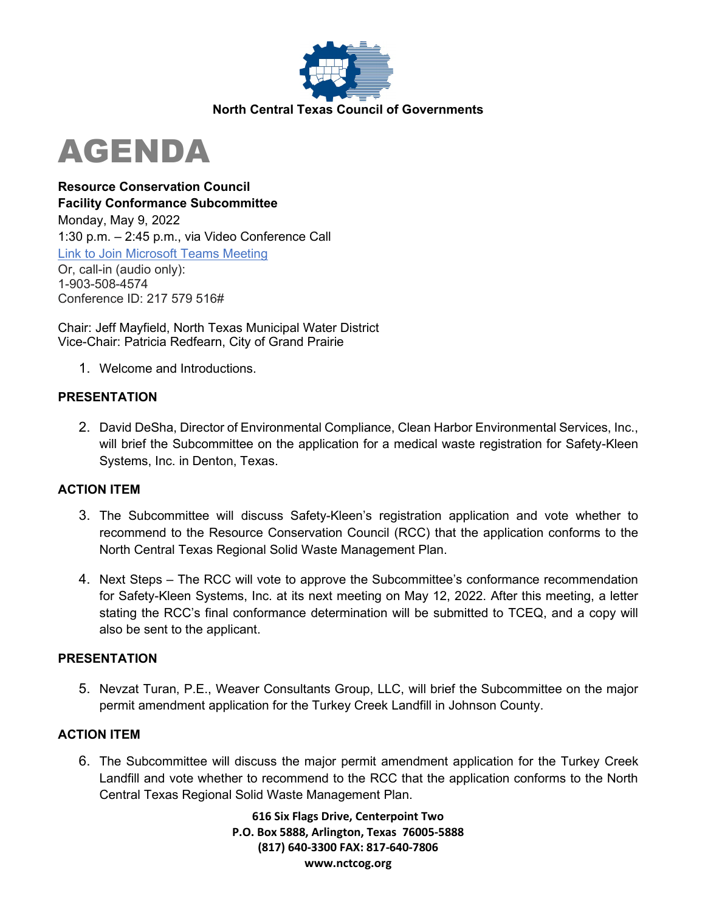

# AGENDA

**Resource Conservation Council Facility Conformance Subcommittee**  Monday, May 9, 2022 1:30 p.m. – 2:45 p.m., via Video Conference Call [Link to Join Microsoft Teams Meeting](https://teams.microsoft.com/l/meetup-join/19%3ameeting_ZjNmM2UyZGItZDZhZS00OGNkLTk4NDAtMDdlYzIxZjdiODA5%40thread.v2/0?context=%7b%22Tid%22%3a%222f5e7ebc-22b0-4fbe-934c-aabddb4e29b1%22%2c%22Oid%22%3a%22e36755e2-eefa-4b02-b9cc-4498875cd36a%22%7d) Or, call-in (audio only): 1-903-508-4574 Conference ID: 217 579 516#

Chair: Jeff Mayfield, North Texas Municipal Water District Vice-Chair: Patricia Redfearn, City of Grand Prairie

1. Welcome and Introductions.

## **PRESENTATION**

2. David DeSha, Director of Environmental Compliance, Clean Harbor Environmental Services, Inc., will brief the Subcommittee on the application for a medical waste registration for Safety-Kleen Systems, Inc. in Denton, Texas.

## **ACTION ITEM**

- 3. The Subcommittee will discuss Safety-Kleen's registration application and vote whether to recommend to the Resource Conservation Council (RCC) that the application conforms to the North Central Texas Regional Solid Waste Management Plan.
- 4. Next Steps The RCC will vote to approve the Subcommittee's conformance recommendation for Safety-Kleen Systems, Inc. at its next meeting on May 12, 2022. After this meeting, a letter stating the RCC's final conformance determination will be submitted to TCEQ, and a copy will also be sent to the applicant.

## **PRESENTATION**

5. Nevzat Turan, P.E., Weaver Consultants Group, LLC, will brief the Subcommittee on the major permit amendment application for the Turkey Creek Landfill in Johnson County.

## **ACTION ITEM**

6. The Subcommittee will discuss the major permit amendment application for the Turkey Creek Landfill and vote whether to recommend to the RCC that the application conforms to the North Central Texas Regional Solid Waste Management Plan.

> **616 Six Flags Drive, Centerpoint Two P.O. Box 5888, Arlington, Texas 76005-5888 (817) 640-3300 FAX: 817-640-7806 www.nctcog.org**